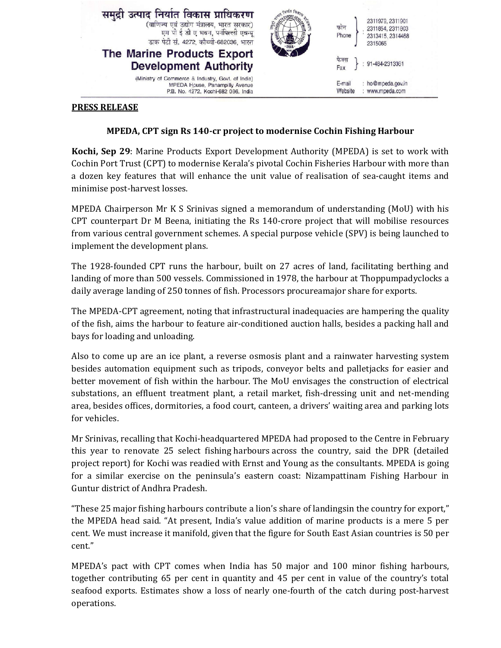

## **PRESS RELEASE**

## **MPEDA, CPT sign Rs 140-cr project to modernise Cochin Fishing Harbour**

**Kochi, Sep 29**: Marine Products Export Development Authority (MPEDA) is set to work with Cochin Port Trust (CPT) to modernise Kerala's pivotal Cochin Fisheries Harbour with more than a dozen key features that will enhance the unit value of realisation of sea-caught items and minimise post-harvest losses.

MPEDA Chairperson Mr K S Srinivas signed a memorandum of understanding (MoU) with his CPT counterpart Dr M Beena, initiating the Rs 140-crore project that will mobilise resources from various central government schemes. A special purpose vehicle (SPV) is being launched to implement the development plans.

The 1928-founded CPT runs the harbour, built on 27 acres of land, facilitating berthing and landing of more than 500 vessels. Commissioned in 1978, the harbour at Thoppumpadyclocks a daily average landing of 250 tonnes of fish. Processors procureamajor share for exports.

The MPEDA-CPT agreement, noting that infrastructural inadequacies are hampering the quality of the fish, aims the harbour to feature air-conditioned auction halls, besides a packing hall and bays for loading and unloading.

Also to come up are an ice plant, a reverse osmosis plant and a rainwater harvesting system besides automation equipment such as tripods, conveyor belts and palletjacks for easier and better movement of fish within the harbour. The MoU envisages the construction of electrical substations, an effluent treatment plant, a retail market, fish-dressing unit and net-mending area, besides offices, dormitories, a food court, canteen, a drivers' waiting area and parking lots for vehicles.

Mr Srinivas, recalling that Kochi-headquartered MPEDA had proposed to the Centre in February this year to renovate 25 select fishing harbours across the country, said the DPR (detailed project report) for Kochi was readied with Ernst and Young as the consultants. MPEDA is going for a similar exercise on the peninsula's eastern coast: Nizampattinam Fishing Harbour in Guntur district of Andhra Pradesh.

"These 25 major fishing harbours contribute a lion's share of landingsin the country for export," the MPEDA head said. "At present, India's value addition of marine products is a mere 5 per cent. We must increase it manifold, given that the figure for South East Asian countries is 50 per cent."

MPEDA's pact with CPT comes when India has 50 major and 100 minor fishing harbours, together contributing 65 per cent in quantity and 45 per cent in value of the country's total seafood exports. Estimates show a loss of nearly one-fourth of the catch during post-harvest operations.